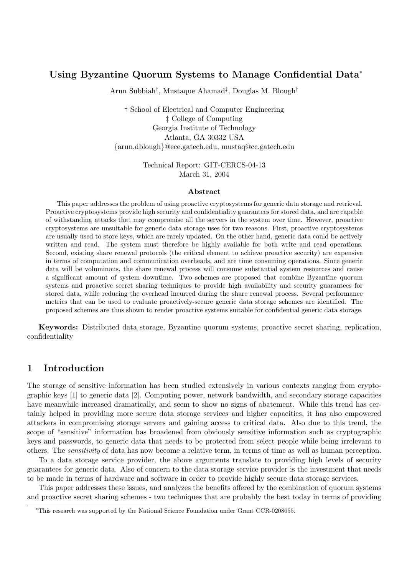# Using Byzantine Quorum Systems to Manage Confidential Data<sup>∗</sup>

Arun Subbiah† , Mustaque Ahamad‡ , Douglas M. Blough†

† School of Electrical and Computer Engineering ‡ College of Computing Georgia Institute of Technology Atlanta, GA 30332 USA {arun,dblough}@ece.gatech.edu, mustaq@cc.gatech.edu

> Technical Report: GIT-CERCS-04-13 March 31, 2004

#### Abstract

This paper addresses the problem of using proactive cryptosystems for generic data storage and retrieval. Proactive cryptosystems provide high security and confidentiality guarantees for stored data, and are capable of withstanding attacks that may compromise all the servers in the system over time. However, proactive cryptosystems are unsuitable for generic data storage uses for two reasons. First, proactive cryptosystems are usually used to store keys, which are rarely updated. On the other hand, generic data could be actively written and read. The system must therefore be highly available for both write and read operations. Second, existing share renewal protocols (the critical element to achieve proactive security) are expensive in terms of computation and communication overheads, and are time consuming operations. Since generic data will be voluminous, the share renewal process will consume substantial system resources and cause a significant amount of system downtime. Two schemes are proposed that combine Byzantine quorum systems and proactive secret sharing techniques to provide high availability and security guarantees for stored data, while reducing the overhead incurred during the share renewal process. Several performance metrics that can be used to evaluate proactively-secure generic data storage schemes are identified. The proposed schemes are thus shown to render proactive systems suitable for confidential generic data storage.

Keywords: Distributed data storage, Byzantine quorum systems, proactive secret sharing, replication, confidentiality

# 1 Introduction

The storage of sensitive information has been studied extensively in various contexts ranging from cryptographic keys [1] to generic data [2]. Computing power, network bandwidth, and secondary storage capacities have meanwhile increased dramatically, and seem to show no signs of abatement. While this trend has certainly helped in providing more secure data storage services and higher capacities, it has also empowered attackers in compromising storage servers and gaining access to critical data. Also due to this trend, the scope of "sensitive" information has broadened from obviously sensitive information such as cryptographic keys and passwords, to generic data that needs to be protected from select people while being irrelevant to others. The sensitivity of data has now become a relative term, in terms of time as well as human perception.

To a data storage service provider, the above arguments translate to providing high levels of security guarantees for generic data. Also of concern to the data storage service provider is the investment that needs to be made in terms of hardware and software in order to provide highly secure data storage services.

This paper addresses these issues, and analyzes the benefits offered by the combination of quorum systems and proactive secret sharing schemes - two techniques that are probably the best today in terms of providing

<sup>∗</sup>This research was supported by the National Science Foundation under Grant CCR-0208655.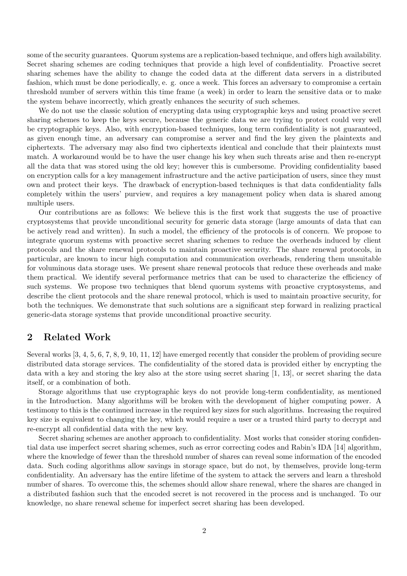some of the security guarantees. Quorum systems are a replication-based technique, and offers high availability. Secret sharing schemes are coding techniques that provide a high level of confidentiality. Proactive secret sharing schemes have the ability to change the coded data at the different data servers in a distributed fashion, which must be done periodically, e. g. once a week. This forces an adversary to compromise a certain threshold number of servers within this time frame (a week) in order to learn the sensitive data or to make the system behave incorrectly, which greatly enhances the security of such schemes.

We do not use the classic solution of encrypting data using cryptographic keys and using proactive secret sharing schemes to keep the keys secure, because the generic data we are trying to protect could very well be cryptographic keys. Also, with encryption-based techniques, long term confidentiality is not guaranteed, as given enough time, an adversary can compromise a server and find the key given the plaintexts and ciphertexts. The adversary may also find two ciphertexts identical and conclude that their plaintexts must match. A workaround would be to have the user change his key when such threats arise and then re-encrypt all the data that was stored using the old key; however this is cumbersome. Providing confidentiality based on encryption calls for a key management infrastructure and the active participation of users, since they must own and protect their keys. The drawback of encryption-based techniques is that data confidentiality falls completely within the users' purview, and requires a key management policy when data is shared among multiple users.

Our contributions are as follows: We believe this is the first work that suggests the use of proactive cryptosystems that provide unconditional security for generic data storage (large amounts of data that can be actively read and written). In such a model, the efficiency of the protocols is of concern. We propose to integrate quorum systems with proactive secret sharing schemes to reduce the overheads induced by client protocols and the share renewal protocols to maintain proactive security. The share renewal protocols, in particular, are known to incur high computation and communication overheads, rendering them unsuitable for voluminous data storage uses. We present share renewal protocols that reduce these overheads and make them practical. We identify several performance metrics that can be used to characterize the efficiency of such systems. We propose two techniques that blend quorum systems with proactive cryptosystems, and describe the client protocols and the share renewal protocol, which is used to maintain proactive security, for both the techniques. We demonstrate that such solutions are a significant step forward in realizing practical generic-data storage systems that provide unconditional proactive security.

# 2 Related Work

Several works [3, 4, 5, 6, 7, 8, 9, 10, 11, 12] have emerged recently that consider the problem of providing secure distributed data storage services. The confidentiality of the stored data is provided either by encrypting the data with a key and storing the key also at the store using secret sharing [1, 13], or secret sharing the data itself, or a combination of both.

Storage algorithms that use cryptographic keys do not provide long-term confidentiality, as mentioned in the Introduction. Many algorithms will be broken with the development of higher computing power. A testimony to this is the continued increase in the required key sizes for such algorithms. Increasing the required key size is equivalent to changing the key, which would require a user or a trusted third party to decrypt and re-encrypt all confidential data with the new key.

Secret sharing schemes are another approach to confidentiality. Most works that consider storing confidential data use imperfect secret sharing schemes, such as error correcting codes and Rabin's IDA [14] algorithm, where the knowledge of fewer than the threshold number of shares can reveal some information of the encoded data. Such coding algorithms allow savings in storage space, but do not, by themselves, provide long-term confidentiality. An adversary has the entire lifetime of the system to attack the servers and learn a threshold number of shares. To overcome this, the schemes should allow share renewal, where the shares are changed in a distributed fashion such that the encoded secret is not recovered in the process and is unchanged. To our knowledge, no share renewal scheme for imperfect secret sharing has been developed.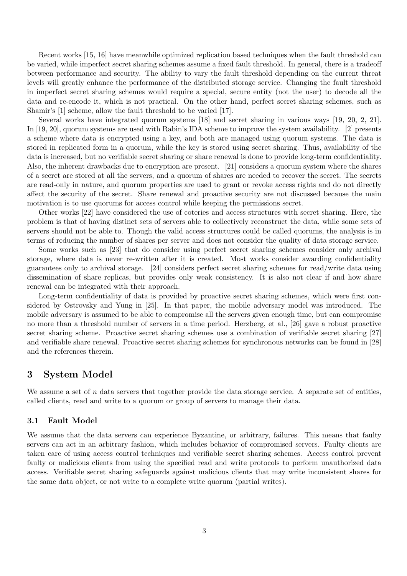Recent works [15, 16] have meanwhile optimized replication based techniques when the fault threshold can be varied, while imperfect secret sharing schemes assume a fixed fault threshold. In general, there is a tradeoff between performance and security. The ability to vary the fault threshold depending on the current threat levels will greatly enhance the performance of the distributed storage service. Changing the fault threshold in imperfect secret sharing schemes would require a special, secure entity (not the user) to decode all the data and re-encode it, which is not practical. On the other hand, perfect secret sharing schemes, such as Shamir's [1] scheme, allow the fault threshold to be varied [17].

Several works have integrated quorum systems [18] and secret sharing in various ways [19, 20, 2, 21]. In [19, 20], quorum systems are used with Rabin's IDA scheme to improve the system availability. [2] presents a scheme where data is encrypted using a key, and both are managed using quorum systems. The data is stored in replicated form in a quorum, while the key is stored using secret sharing. Thus, availability of the data is increased, but no verifiable secret sharing or share renewal is done to provide long-term confidentiality. Also, the inherent drawbacks due to encryption are present. [21] considers a quorum system where the shares of a secret are stored at all the servers, and a quorum of shares are needed to recover the secret. The secrets are read-only in nature, and quorum properties are used to grant or revoke access rights and do not directly affect the security of the secret. Share renewal and proactive security are not discussed because the main motivation is to use quorums for access control while keeping the permissions secret.

Other works [22] have considered the use of coteries and access structures with secret sharing. Here, the problem is that of having distinct sets of servers able to collectively reconstruct the data, while some sets of servers should not be able to. Though the valid access structures could be called quorums, the analysis is in terms of reducing the number of shares per server and does not consider the quality of data storage service.

Some works such as [23] that do consider using perfect secret sharing schemes consider only archival storage, where data is never re-written after it is created. Most works consider awarding confidentiality guarantees only to archival storage. [24] considers perfect secret sharing schemes for read/write data using dissemination of share replicas, but provides only weak consistency. It is also not clear if and how share renewal can be integrated with their approach.

Long-term confidentiality of data is provided by proactive secret sharing schemes, which were first considered by Ostrovsky and Yung in [25]. In that paper, the mobile adversary model was introduced. The mobile adversary is assumed to be able to compromise all the servers given enough time, but can compromise no more than a threshold number of servers in a time period. Herzberg, et al., [26] gave a robust proactive secret sharing scheme. Proactive secret sharing schemes use a combination of verifiable secret sharing [27] and verifiable share renewal. Proactive secret sharing schemes for synchronous networks can be found in [28] and the references therein.

# 3 System Model

We assume a set of  $n$  data servers that together provide the data storage service. A separate set of entities, called clients, read and write to a quorum or group of servers to manage their data.

## 3.1 Fault Model

We assume that the data servers can experience Byzantine, or arbitrary, failures. This means that faulty servers can act in an arbitrary fashion, which includes behavior of compromised servers. Faulty clients are taken care of using access control techniques and verifiable secret sharing schemes. Access control prevent faulty or malicious clients from using the specified read and write protocols to perform unauthorized data access. Verifiable secret sharing safeguards against malicious clients that may write inconsistent shares for the same data object, or not write to a complete write quorum (partial writes).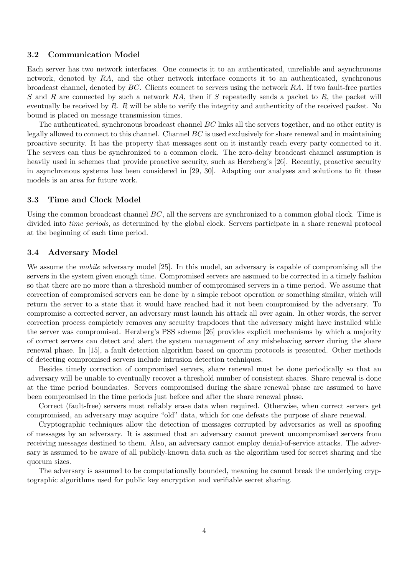## 3.2 Communication Model

Each server has two network interfaces. One connects it to an authenticated, unreliable and asynchronous network, denoted by RA, and the other network interface connects it to an authenticated, synchronous broadcast channel, denoted by BC. Clients connect to servers using the network RA. If two fault-free parties S and R are connected by such a network  $RA$ , then if S repeatedly sends a packet to R, the packet will eventually be received by  $R$ .  $R$  will be able to verify the integrity and authenticity of the received packet. No bound is placed on message transmission times.

The authenticated, synchronous broadcast channel BC links all the servers together, and no other entity is legally allowed to connect to this channel. Channel  $BC$  is used exclusively for share renewal and in maintaining proactive security. It has the property that messages sent on it instantly reach every party connected to it. The servers can thus be synchronized to a common clock. The zero-delay broadcast channel assumption is heavily used in schemes that provide proactive security, such as Herzberg's [26]. Recently, proactive security in asynchronous systems has been considered in [29, 30]. Adapting our analyses and solutions to fit these models is an area for future work.

## 3.3 Time and Clock Model

Using the common broadcast channel  $BC$ , all the servers are synchronized to a common global clock. Time is divided into *time periods*, as determined by the global clock. Servers participate in a share renewal protocol at the beginning of each time period.

## 3.4 Adversary Model

We assume the *mobile* adversary model [25]. In this model, an adversary is capable of compromising all the servers in the system given enough time. Compromised servers are assumed to be corrected in a timely fashion so that there are no more than a threshold number of compromised servers in a time period. We assume that correction of compromised servers can be done by a simple reboot operation or something similar, which will return the server to a state that it would have reached had it not been compromised by the adversary. To compromise a corrected server, an adversary must launch his attack all over again. In other words, the server correction process completely removes any security trapdoors that the adversary might have installed while the server was compromised. Herzberg's PSS scheme [26] provides explicit mechanisms by which a majority of correct servers can detect and alert the system management of any misbehaving server during the share renewal phase. In [15], a fault detection algorithm based on quorum protocols is presented. Other methods of detecting compromised servers include intrusion detection techniques.

Besides timely correction of compromised servers, share renewal must be done periodically so that an adversary will be unable to eventually recover a threshold number of consistent shares. Share renewal is done at the time period boundaries. Servers compromised during the share renewal phase are assumed to have been compromised in the time periods just before and after the share renewal phase.

Correct (fault-free) servers must reliably erase data when required. Otherwise, when correct servers get compromised, an adversary may acquire "old" data, which for one defeats the purpose of share renewal.

Cryptographic techniques allow the detection of messages corrupted by adversaries as well as spoofing of messages by an adversary. It is assumed that an adversary cannot prevent uncompromised servers from receiving messages destined to them. Also, an adversary cannot employ denial-of-service attacks. The adversary is assumed to be aware of all publicly-known data such as the algorithm used for secret sharing and the quorum sizes.

The adversary is assumed to be computationally bounded, meaning he cannot break the underlying cryptographic algorithms used for public key encryption and verifiable secret sharing.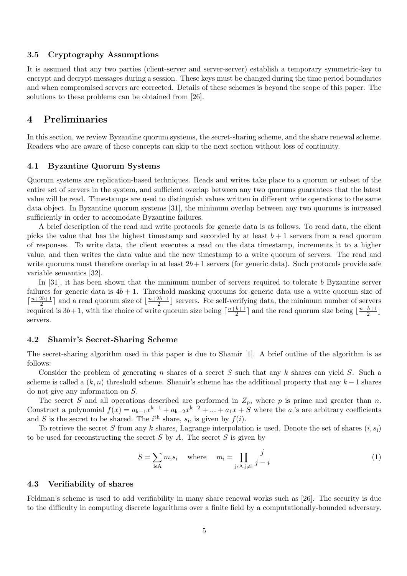## 3.5 Cryptography Assumptions

It is assumed that any two parties (client-server and server-server) establish a temporary symmetric-key to encrypt and decrypt messages during a session. These keys must be changed during the time period boundaries and when compromised servers are corrected. Details of these schemes is beyond the scope of this paper. The solutions to these problems can be obtained from [26].

# 4 Preliminaries

In this section, we review Byzantine quorum systems, the secret-sharing scheme, and the share renewal scheme. Readers who are aware of these concepts can skip to the next section without loss of continuity.

## 4.1 Byzantine Quorum Systems

Quorum systems are replication-based techniques. Reads and writes take place to a quorum or subset of the entire set of servers in the system, and sufficient overlap between any two quorums guarantees that the latest value will be read. Timestamps are used to distinguish values written in different write operations to the same data object. In Byzantine quorum systems [31], the minimum overlap between any two quorums is increased sufficiently in order to accomodate Byzantine failures.

A brief description of the read and write protocols for generic data is as follows. To read data, the client picks the value that has the highest timestamp and seconded by at least  $b + 1$  servers from a read quorum of responses. To write data, the client executes a read on the data timestamp, increments it to a higher value, and then writes the data value and the new timestamp to a write quorum of servers. The read and write quorums must therefore overlap in at least  $2b + 1$  servers (for generic data). Such protocols provide safe variable semantics [32].

In [31], it has been shown that the minimum number of servers required to tolerate b Byzantine server failures for generic data is  $4b + 1$ . Threshold masking quorums for generic data use a write quorum size of  $\lceil \frac{n+2b+1}{2} \rceil$  $\frac{2b+1}{2}$  and a read quorum size of  $\lfloor \frac{n+2b+1}{2} \rfloor$  $\frac{2b+1}{2}$  servers. For self-verifying data, the minimum number of servers required is  $3b+1$ , with the choice of write quorum size being  $\lceil \frac{n+b+1}{2} \rceil$  $\frac{b+1}{2}$  and the read quorum size being  $\lfloor \frac{n+b+1}{2} \rfloor$  $\frac{b+1}{2}$ servers.

### 4.2 Shamir's Secret-Sharing Scheme

The secret-sharing algorithm used in this paper is due to Shamir [1]. A brief outline of the algorithm is as follows:

Consider the problem of generating n shares of a secret  $S$  such that any  $k$  shares can yield  $S$ . Such a scheme is called a  $(k, n)$  threshold scheme. Shamir's scheme has the additional property that any  $k - 1$  shares do not give any information on S.

The secret S and all operations described are performed in  $Z_p$ , where p is prime and greater than n. Construct a polynomial  $f(x) = a_{k-1}x^{k-1} + a_{k-2}x^{k-2} + ... + a_1x + S$  where the  $a_i$ 's are arbitrary coefficients and S is the secret to be shared. The i<sup>th</sup> share,  $s_i$ , is given by  $f(i)$ .

To retrieve the secret S from any k shares, Lagrange interpolation is used. Denote the set of shares  $(i, s_i)$ to be used for reconstructing the secret  $S$  by  $A$ . The secret  $S$  is given by

$$
S = \sum_{\mathbf{i} \in \mathcal{A}} m_{\mathbf{i}} s_{\mathbf{i}} \quad \text{where} \quad m_{\mathbf{i}} = \prod_{\mathbf{j} \in \mathcal{A}, \mathbf{j} \neq \mathbf{i}} \frac{j}{j - i} \tag{1}
$$

## 4.3 Verifiability of shares

Feldman's scheme is used to add verifiability in many share renewal works such as [26]. The security is due to the difficulty in computing discrete logarithms over a finite field by a computationally-bounded adversary.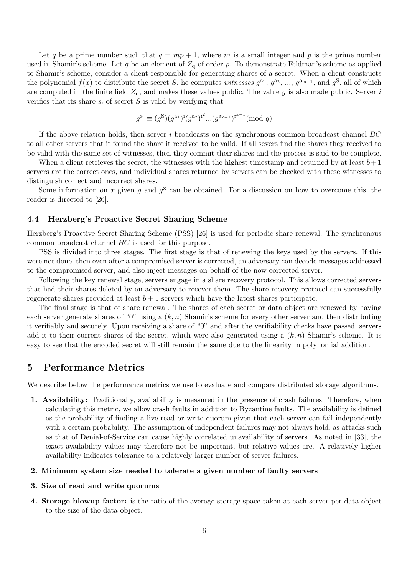Let q be a prime number such that  $q = mp + 1$ , where m is a small integer and p is the prime number used in Shamir's scheme. Let g be an element of  $Z_q$  of order p. To demonstrate Feldman's scheme as applied to Shamir's scheme, consider a client responsible for generating shares of a secret. When a client constructs the polynomial  $f(x)$  to distribute the secret S, he computes witnesses  $g^{a_1}, g^{a_2}, ..., g^{a_{m-1}}$ , and  $g^S$ , all of which are computed in the finite field  $Z_q$ , and makes these values public. The value g is also made public. Server i verifies that its share  $s_i$  of secret S is valid by verifying that

$$
g^{\mathbf{s_i}} \equiv (g^{\mathbf{S}})(g^{\mathbf{a_1}})^{\mathbf{i}}(g^{\mathbf{a_2}})^{\mathbf{i^2}}...(g^{\mathbf{a_{k-1}}})^{i^{k-1}}(\text{mod } q)
$$

If the above relation holds, then server  $i$  broadcasts on the synchronous common broadcast channel  $BC$ to all other servers that it found the share it received to be valid. If all severs find the shares they received to be valid with the same set of witnesses, then they commit their shares and the process is said to be complete.

When a client retrieves the secret, the witnesses with the highest timestamp and returned by at least  $b+1$ servers are the correct ones, and individual shares returned by servers can be checked with these witnesses to distinguish correct and incorrect shares.

Some information on x given g and  $g^x$  can be obtained. For a discussion on how to overcome this, the reader is directed to [26].

## 4.4 Herzberg's Proactive Secret Sharing Scheme

Herzberg's Proactive Secret Sharing Scheme (PSS) [26] is used for periodic share renewal. The synchronous common broadcast channel BC is used for this purpose.

PSS is divided into three stages. The first stage is that of renewing the keys used by the servers. If this were not done, then even after a compromised server is corrected, an adversary can decode messages addressed to the compromised server, and also inject messages on behalf of the now-corrected server.

Following the key renewal stage, servers engage in a share recovery protocol. This allows corrected servers that had their shares deleted by an adversary to recover them. The share recovery protocol can successfully regenerate shares provided at least  $b + 1$  servers which have the latest shares participate.

The final stage is that of share renewal. The shares of each secret or data object are renewed by having each server generate shares of "0" using a  $(k, n)$  Shamir's scheme for every other server and then distributing it verifiably and securely. Upon receiving a share of "0" and after the verifiability checks have passed, servers add it to their current shares of the secret, which were also generated using a  $(k, n)$  Shamir's scheme. It is easy to see that the encoded secret will still remain the same due to the linearity in polynomial addition.

# 5 Performance Metrics

We describe below the performance metrics we use to evaluate and compare distributed storage algorithms.

1. Availability: Traditionally, availability is measured in the presence of crash failures. Therefore, when calculating this metric, we allow crash faults in addition to Byzantine faults. The availability is defined as the probability of finding a live read or write quorum given that each server can fail independently with a certain probability. The assumption of independent failures may not always hold, as attacks such as that of Denial-of-Service can cause highly correlated unavailability of servers. As noted in [33], the exact availability values may therefore not be important, but relative values are. A relatively higher availability indicates tolerance to a relatively larger number of server failures.

### 2. Minimum system size needed to tolerate a given number of faulty servers

#### 3. Size of read and write quorums

4. Storage blowup factor: is the ratio of the average storage space taken at each server per data object to the size of the data object.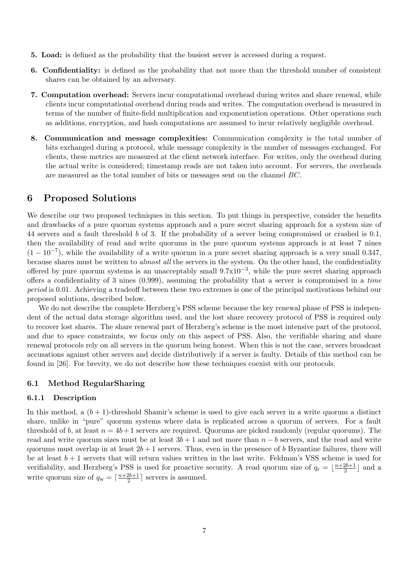- 5. Load: is defined as the probability that the busiest server is accessed during a request.
- 6. Confidentiality: is defined as the probability that not more than the threshold number of consistent shares can be obtained by an adversary.
- 7. Computation overhead: Servers incur computational overhead during writes and share renewal, while clients incur computational overhead during reads and writes. The computation overhead is measured in terms of the number of finite-field multiplication and exponentiation operations. Other operations such as additions, encryption, and hash computations are assumed to incur relatively negligible overhead.
- 8. Communication and message complexities: Communication complexity is the total number of bits exchanged during a protocol, while message complexity is the number of messages exchanged. For clients, these metrics are measured at the client network interface. For writes, only the overhead during the actual write is considered; timestamp reads are not taken into account. For servers, the overheads are measured as the total number of bits or messages sent on the channel BC.

# 6 Proposed Solutions

We describe our two proposed techniques in this section. To put things in perspective, consider the benefits and drawbacks of a pure quorum systems approach and a pure secret sharing approach for a system size of 44 servers and a fault threshold b of 3. If the probability of a server being compromised or crashed is 0.1, then the availability of read and write quorums in the pure quorum systems approach is at least 7 nines  $(1 - 10^{-7})$ , while the availability of a write quorum in a pure secret sharing approach is a very small 0.347, because shares must be written to *almost all* the servers in the system. On the other hand, the confidentiality offered by pure quorum systems is an unacceptably small  $9.7 \times 10^{-3}$ , while the pure secret sharing approach offers a confidentiality of 3 nines (0.999), assuming the probability that a server is compromised in a time period is 0.01. Achieving a tradeoff between these two extremes is one of the principal motivations behind our proposed solutions, described below.

We do not describe the complete Herzberg's PSS scheme because the key renewal phase of PSS is independent of the actual data storage algorithm used, and the lost share recovery protocol of PSS is required only to recover lost shares. The share renewal part of Herzberg's scheme is the most intensive part of the protocol, and due to space constraints, we focus only on this aspect of PSS. Also, the verifiable sharing and share renewal protocols rely on all servers in the quorum being honest. When this is not the case, servers broadcast accusations against other servers and decide distributively if a server is faulty. Details of this method can be found in [26]. For brevity, we do not describe how these techniques coexist with our protocols.

## 6.1 Method RegularSharing

## 6.1.1 Description

In this method, a  $(b+1)$ -threshold Shamir's scheme is used to give each server in a write quorum a distinct share, unlike in "pure" quorum systems where data is replicated across a quorum of servers. For a fault threshold of b, at least  $n = 4b+1$  servers are required. Quorums are picked randomly (regular quorums). The read and write quorum sizes must be at least  $3b + 1$  and not more than  $n - b$  servers, and the read and write quorums must overlap in at least  $2b + 1$  servers. Thus, even in the presence of b Byzantine failures, there will be at least  $b + 1$  servers that will return values written in the last write. Feldman's VSS scheme is used for verifiability, and Herzberg's PSS is used for proactive security. A read quorum size of  $q_r = \lfloor \frac{n+2b+1}{2} \rfloor$  $\frac{2b+1}{2}$  and a write quorum size of  $q_w = \lceil \frac{n+2b+1}{2} \rceil$  $\frac{2b+1}{2}$  servers is assumed.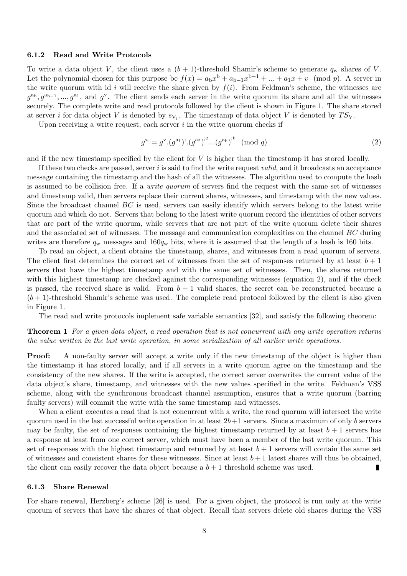#### 6.1.2 Read and Write Protocols

To write a data object V, the client uses a  $(b + 1)$ -threshold Shamir's scheme to generate  $q_w$  shares of V. Let the polynomial chosen for this purpose be  $f(x) = a_b x^b + a_{b-1} x^{b-1} + ... + a_1 x + v \pmod{p}$ . A server in the write quorum with id i will receive the share given by  $f(i)$ . From Feldman's scheme, the witnesses are  $g^{a_b}, g^{a_{b-1}}, ..., g^{a_1}$ , and  $g^v$ . The client sends each server in the write quorum its share and all the witnesses securely. The complete write and read protocols followed by the client is shown in Figure 1. The share stored at server *i* for data object V is denoted by  $s_{V_i}$ . The timestamp of data object V is denoted by  $TS_V$ .

Upon receiving a write request, each server  $i$  in the write quorum checks if

$$
g^{\mathbf{s}_i} = g^{\mathbf{v}}.(g^{\mathbf{a}_1})^{\mathbf{i}}.(g^{\mathbf{a}_2})^{\mathbf{i}^2}...(g^{\mathbf{a}_\mathbf{b}})^{\mathbf{i}^{\mathbf{b}}} \pmod{q}
$$
 (2)

and if the new timestamp specified by the client for  $V$  is higher than the timestamp it has stored locally.

If these two checks are passed, server  $i$  is said to find the write request *valid*, and it broadcasts an acceptance message containing the timestamp and the hash of all the witnesses. The algorithm used to compute the hash is assumed to be collision free. If a *write quorum* of servers find the request with the same set of witnesses and timestamp valid, then servers replace their current shares, witnesses, and timestamp with the new values. Since the broadcast channel BC is used, servers can easily identify which servers belong to the latest write quorum and which do not. Servers that belong to the latest write quorum record the identities of other servers that are part of the write quorum, while servers that are not part of the write quorum delete their shares and the associated set of witnesses. The message and communication complexities on the channel BC during writes are therefore  $q_w$  messages and  $160q_w$  bits, where it is assumed that the length of a hash is 160 bits.

To read an object, a client obtains the timestamp, shares, and witnesses from a read quorum of servers. The client first determines the correct set of witnesses from the set of responses returned by at least  $b + 1$ servers that have the highest timestamp and with the same set of witnesses. Then, the shares returned with this highest timestamp are checked against the corresponding witnesses (equation 2), and if the check is passed, the received share is valid. From  $b + 1$  valid shares, the secret can be reconstructed because a  $(b+1)$ -threshold Shamir's scheme was used. The complete read protocol followed by the client is also given in Figure 1.

The read and write protocols implement safe variable semantics [32], and satisfy the following theorem:

## Theorem 1 For a given data object, a read operation that is not concurrent with any write operation returns the value written in the last write operation, in some serialization of all earlier write operations.

**Proof:** A non-faulty server will accept a write only if the new timestamp of the object is higher than the timestamp it has stored locally, and if all servers in a write quorum agree on the timestamp and the consistency of the new shares. If the write is accepted, the correct server overwrites the current value of the data object's share, timestamp, and witnesses with the new values specified in the write. Feldman's VSS scheme, along with the synchronous broadcast channel assumption, ensures that a write quorum (barring faulty servers) will commit the write with the same timestamp and witnesses.

When a client executes a read that is not concurrent with a write, the read quorum will intersect the write quorum used in the last successful write operation in at least  $2b+1$  servers. Since a maximum of only b servers may be faulty, the set of responses containing the highest timestamp returned by at least  $b + 1$  servers has a response at least from one correct server, which must have been a member of the last write quorum. This set of responses with the highest timestamp and returned by at least  $b + 1$  servers will contain the same set of witnesses and consistent shares for these witnesses. Since at least  $b+1$  latest shares will thus be obtained, the client can easily recover the data object because a  $b + 1$  threshold scheme was used. П

#### 6.1.3 Share Renewal

For share renewal, Herzberg's scheme [26] is used. For a given object, the protocol is run only at the write quorum of servers that have the shares of that object. Recall that servers delete old shares during the VSS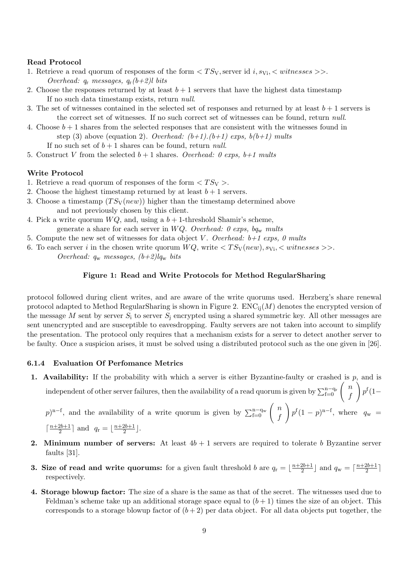## Read Protocol

- 1. Retrieve a read quorum of responses of the form  $\langle TS_V$ , server id i,  $s_{Vi}$ ,  $\langle \text{witnesses} \rangle$ . Overhead:  $q_r$  messages,  $q_r(b+2)l$  bits
- 2. Choose the responses returned by at least  $b + 1$  servers that have the highest data timestamp If no such data timestamp exists, return null.
- 3. The set of witnesses contained in the selected set of responses and returned by at least  $b+1$  servers is the correct set of witnesses. If no such correct set of witnesses can be found, return null.
- 4. Choose  $b+1$  shares from the selected responses that are consistent with the witnesses found in step (3) above (equation 2). Overhead:  $(b+1)$ . $(b+1)$  exps,  $b(b+1)$  mults

If no such set of  $b + 1$  shares can be found, return *null*.

5. Construct V from the selected  $b+1$  shares. Overhead: 0 exps,  $b+1$  mults

## Write Protocol

- 1. Retrieve a read quorum of responses of the form  $\langle TS_V \rangle$ .
- 2. Choose the highest timestamp returned by at least  $b+1$  servers.
- 3. Choose a timestamp  $(TS_{\rm V}(new))$  higher than the timestamp determined above and not previously chosen by this client.
- 4. Pick a write quorum  $WQ$ , and, using a  $b + 1$ -threshold Shamir's scheme, generate a share for each server in WQ. Overhead: 0 exps,  $bq_w$  mults
- 5. Compute the new set of witnesses for data object V. Overhead:  $b+1$  exps, 0 mults
- 6. To each server i in the chosen write quorum  $WQ$ , write  $\langle TS_{\rm V}(new), s_{\rm Vi}, \langle witnesses \rangle$ . Overhead:  $q_w$  messages,  $(b+2)lq_w$  bits

### Figure 1: Read and Write Protocols for Method RegularSharing

protocol followed during client writes, and are aware of the write quorums used. Herzberg's share renewal protocol adapted to Method RegularSharing is shown in Figure 2.  $ENC_{ii}(M)$  denotes the encrypted version of the message M sent by server  $S_i$  to server  $S_i$  encrypted using a shared symmetric key. All other messages are sent unencrypted and are susceptible to eavesdropping. Faulty servers are not taken into account to simplify the presentation. The protocol only requires that a mechanism exists for a server to detect another server to be faulty. Once a suspicion arises, it must be solved using a distributed protocol such as the one given in [26].

## 6.1.4 Evaluation Of Perfomance Metrics

1. Availability: If the probability with which a server is either Byzantine-faulty or crashed is  $p$ , and is  $\setminus$ 

 $p^{\rm f}(1-$ 

independent of other server failures, then the availability of a read quorum is given by  $\sum_{f=0}^{n-q_r} \begin{pmatrix} n \\ f \end{pmatrix}$ f

p)<sup>n-f</sup>, and the availability of a write quorum is given by  $\sum_{f=0}^{n-q_w} \begin{pmatrix} n \\ f \end{pmatrix}$ f  $\setminus$  $p^{\rm f}(1-p)^{\rm n-f}$ , where  $q_{\rm w}$  =  $\lceil \frac{n+2b+1}{2} \rceil$  $\frac{2b+1}{2}$  and  $q_r = \lfloor \frac{n+2b+1}{2} \rfloor$  $\frac{2b+1}{2}$ .

- **2.** Minimum number of servers: At least  $4b + 1$  servers are required to tolerate b Byzantine server faults [31].
- **3. Size of read and write quorums:** for a given fault threshold b are  $q_r = \lfloor \frac{n+2b+1}{2} \rfloor$  $\frac{2b+1}{2}$  and  $q_w = \lceil \frac{n+2b+1}{2} \rceil$  $\frac{2b+1}{2}$ ] respectively.
- 4. Storage blowup factor: The size of a share is the same as that of the secret. The witnesses used due to Feldman's scheme take up an additional storage space equal to  $(b+1)$  times the size of an object. This corresponds to a storage blowup factor of  $(b+2)$  per data object. For all data objects put together, the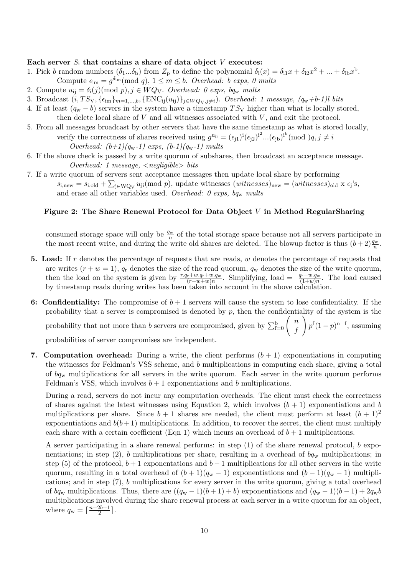## Each server  $S_i$  that contains a share of data object  $V$  executes:

- 1. Pick b random numbers  $(\delta_1...\delta_b)$  from  $Z_p$  to define the polynomial  $\delta_i(x) = \delta_{i1}x + \delta_{i2}x^2 + ... + \delta_{ib}x^b$ . Compute  $\epsilon_{\text{im}} = g^{\delta_{\text{im}}} \pmod{q}, 1 \leq m \leq b$ . Overhead: b exps, 0 mults
- 2. Compute  $u_{ij} = \delta_i(j) \pmod{p}, j \in WQ_V$ . Overhead: 0 exps, bq<sub>w</sub> mults
- 3. Broadcast  $(i, TS_V, \{\epsilon_{im}\}_{m=1,\dots,b}, \{\text{ENC}_{ij}(u_{ij})\}_{j\in WQ_V, j\neq i})$ . Overhead: 1 message,  $(q_w+b-1)l$  bits
- 4. If at least  $(q_w b)$  servers in the system have a timestamp  $TS_V$  higher than what is locally stored, then delete local share of  $V$  and all witnesses associated with  $V$ , and exit the protocol.
- 5. From all messages broadcast by other servers that have the same timestamp as what is stored locally, verify the correctness of shares received using  $g^{u_{ji}} = (\epsilon_{j1})^i (\epsilon_{j2})^{i^2} ... (\epsilon_{jb})^{i^b} \pmod{q, j \neq i}$ Overhead:  $(b+1)(q_w-1)$  exps,  $(b-1)(q_w-1)$  mults
- 6. If the above check is passed by a write quorum of subshares, then broadcast an acceptance message. Overhead: 1 message,  $\langle$  negligible $\rangle$  bits
- 7. If a write quorum of servers sent acceptance messages then update local share by performing  $s_{\rm i, new} = s_{\rm i, old} + \sum_{\rm j \in WQ_V} u_{\rm ji}(\rm mod\ p)$ , update witnesses  $(witnesses)_{\rm new} = (witnesses)_{\rm old} \times \epsilon_{\rm j}$ 's, and erase all other variables used. Overhead: 0 exps,  $bq_w$  mults

## Figure 2: The Share Renewal Protocol for Data Object V in Method RegularSharing

consumed storage space will only be  $\frac{q_w}{n}$  of the total storage space because not all servers participate in the most recent write, and during the write old shares are deleted. The blowup factor is thus  $(b+2)\frac{q_w}{n}$ .

- 5. Load: If r denotes the percentage of requests that are reads,  $w$  denotes the percentage of requests that are writes  $(r + w = 1)$ ,  $q_r$  denotes the size of the read quorum,  $q_w$  denotes the size of the write quorum, then the load on the system is given by  $\frac{r \cdot q_r + w \cdot q_r + w \cdot q_w}{(r+w+w)n}$ . Simplifying, load =  $\frac{q_r + w \cdot q_w}{(1+w)n}$ . The load caused by timestamp reads during writes has been taken into account in the above calculation.
- 6: Confidentiality: The compromise of  $b+1$  servers will cause the system to lose confidentiality. If the probability that a server is compromised is denoted by  $p$ , then the confidentiality of the system is the probability that not more than b servers are compromised, given by  $\sum_{f=0}^{b} \begin{pmatrix} n \\ f \end{pmatrix}$  $\setminus$

f  $p^{f}(1-p)^{n-f}$ , assuming probabilities of server compromises are independent.

7. Computation overhead: During a write, the client performs  $(b + 1)$  exponentiations in computing the witnesses for Feldman's VSS scheme, and b multiplications in computing each share, giving a total of  $bq_w$  multiplications for all servers in the write quorum. Each server in the write quorum performs Feldman's VSS, which involves  $b + 1$  exponentiations and b multiplications.

During a read, servers do not incur any computation overheads. The client must check the correctness of shares against the latest witnesses using Equation 2, which involves  $(b + 1)$  exponentiations and b multiplications per share. Since  $b + 1$  shares are needed, the client must perform at least  $(b + 1)^2$ exponentiations and  $b(b+1)$  multiplications. In addition, to recover the secret, the client must multiply each share with a certain coefficient (Eqn 1) which incurs an overhead of  $b + 1$  multiplications.

A server participating in a share renewal performs: in step (1) of the share renewal protocol, b exponentiations; in step (2), b multiplications per share, resulting in a overhead of  $bq_w$  multiplications; in step (5) of the protocol,  $b + 1$  exponentations and  $b - 1$  multiplications for all other servers in the write quorum, resulting in a total overhead of  $(b+1)(q_w-1)$  exponentiations and  $(b-1)(q_w-1)$  multiplications; and in step (7), b multiplications for every server in the write quorum, giving a total overhead of bq<sub>w</sub> multiplications. Thus, there are  $((q_w - 1)(b + 1) + b)$  exponentiations and  $(q_w - 1)(b - 1) + 2q_w b$ multiplications involved during the share renewal process at each server in a write quorum for an object, where  $q_{\rm w} = \lceil \frac{n+2b+1}{2} \rceil$  $\frac{2b+1}{2}$ .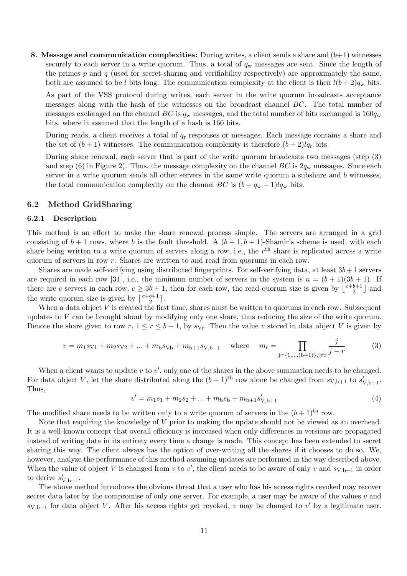8. Message and communication complexities: During writes, a client sends a share and  $(b+1)$  witnesses securely to each server in a write quorum. Thus, a total of  $q_w$  messages are sent. Since the length of the primes  $p$  and  $q$  (used for secret-sharing and verifiability respectively) are approximately the same, both are assumed to be l bits long. The communication complexity at the client is then  $l(b+2)q_w$  bits.

As part of the VSS protocol during writes, each server in the write quorum broadcasts acceptance messages along with the hash of the witnesses on the broadcast channel BC. The total number of messages exchanged on the channel BC is  $q_w$  messages, and the total number of bits exchanged is  $160q_w$ bits, where it assumed that the length of a hash is 160 bits.

During reads, a client receives a total of  $q_r$  responses or messages. Each message contains a share and the set of  $(b+1)$  witnesses. The communication complexity is therefore  $(b+2)lq_r$  bits.

During share renewal, each server that is part of the write quorum broadcasts two messages (step (3) and step (6) in Figure 2). Thus, the message complexity on the channel  $BC$  is  $2q_w$  messages. Since each server in a write quorum sends all other servers in the same write quorum a subshare and b witnesses, the total communication complexity on the channel BC is  $(b + q_w - 1)lq_w$  bits.

## 6.2 Method GridSharing

#### 6.2.1 Description

This method is an effort to make the share renewal process simple. The servers are arranged in a grid consisting of  $b+1$  rows, where b is the fault threshold. A  $(b+1,b+1)$ -Shamir's scheme is used, with each share being written to a write quorum of servers along a row, i.e., the  $r<sup>th</sup>$  share is replicated across a write quorum of servers in row r. Shares are written to and read from quorums in each row.

Shares are made self-verifying using distributed fingerprints. For self-verifying data, at least  $3b+1$  servers are required in each row [31], i.e., the minimum number of servers in the system is  $n = (b + 1)(3b + 1)$ . If there are c servers in each row,  $c \geq 3b + 1$ , then for each row, the read quorum size is given by  $\lfloor \frac{c+b+1}{2} \rfloor$  $\frac{b+1}{2}$  and the write quorum size is given by  $\lceil \frac{c+b+1}{2} \rceil$  $\frac{b+1}{2}$ .

When a data object  $V$  is created the first time, shares must be written to quorums in each row. Subsequent updates to  $V$  can be brought about by modifying only one share, thus reducing the size of the write quorum. Denote the share given to row r,  $1 \le r \le b+1$ , by  $s_{V_r}$ . Then the value v stored in data object V is given by

$$
v = m_1 s_{V1} + m_2 s_{V2} + \dots + m_b s_{Vb} + m_{b+1} s_{V,b+1} \quad \text{where} \quad m_r = \prod_{j=\{1,\dots,(b+1)\}, j \neq r} \frac{j}{j-r}
$$
(3)

When a client wants to update  $v$  to  $v'$ , only one of the shares in the above summation needs to be changed. For data object V, let the share distributed along the  $(b+1)$ <sup>th</sup> row alone be changed from  $s_{V,b+1}$  to  $s'_{V,b+1}$ . Thus,

$$
v' = m_1 s_1 + m_2 s_2 + \dots + m_b s_b + m_{b+1} s'_{V, b+1}
$$
\n<sup>(4)</sup>

The modified share needs to be written only to a write quorum of servers in the  $(b+1)$ <sup>th</sup> row.

Note that requiring the knowledge of  $V$  prior to making the update should not be viewed as an overhead. It is a well-known concept that overall efficiency is increased when only differences in versions are propagated instead of writing data in its entirety every time a change is made. This concept has been extended to secret sharing this way. The client always has the option of over-writing all the shares if it chooses to do so. We, however, analyze the performance of this method assuming updates are performed in the way described above. When the value of object V is changed from v to v', the client needs to be aware of only v and  $s_{V,b+1}$  in order to derive  $s'_{V,b+1}$ .

The above method introduces the obvious threat that a user who has his access rights revoked may recover secret data later by the compromise of only one server. For example, a user may be aware of the values  $v$  and  $s_{V,b+1}$  for data object V. After his access rights get revoked, v may be changed to v' by a legitimate user.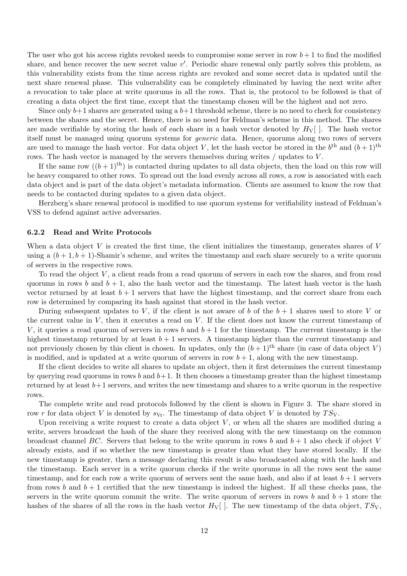The user who got his access rights revoked needs to compromise some server in row  $b+1$  to find the modified share, and hence recover the new secret value  $v'$ . Periodic share renewal only partly solves this problem, as this vulnerability exists from the time access rights are revoked and some secret data is updated until the next share renewal phase. This vulnerability can be completely eliminated by having the next write after a revocation to take place at write quorums in all the rows. That is, the protocol to be followed is that of creating a data object the first time, except that the timestamp chosen will be the highest and not zero.

Since only  $b+1$  shares are generated using a  $b+1$  threshold scheme, there is no need to check for consistency between the shares and the secret. Hence, there is no need for Feldman's scheme in this method. The shares are made verifiable by storing the hash of each share in a hash vector denoted by  $H_V$ []. The hash vector itself must be managed using quorum systems for generic data. Hence, quorums along two rows of servers are used to manage the hash vector. For data object V, let the hash vector be stored in the  $b^{\text{th}}$  and  $(b+1)^{\text{th}}$ rows. The hash vector is managed by the servers themselves during writes / updates to V.

If the same row  $((b+1)$ <sup>th</sup>) is contacted during updates to all data objects, then the load on this row will be heavy compared to other rows. To spread out the load evenly across all rows, a row is associated with each data object and is part of the data object's metadata information. Clients are assumed to know the row that needs to be contacted during updates to a given data object.

Herzberg's share renewal protocol is modified to use quorum systems for verifiability instead of Feldman's VSS to defend against active adversaries.

#### 6.2.2 Read and Write Protocols

When a data object  $V$  is created the first time, the client initializes the timestamp, generates shares of  $V$ using a  $(b+1, b+1)$ -Shamir's scheme, and writes the timestamp and each share securely to a write quorum of servers in the respective rows.

To read the object V , a client reads from a read quorum of servers in each row the shares, and from read quorums in rows b and  $b + 1$ , also the hash vector and the timestamp. The latest hash vector is the hash vector returned by at least  $b + 1$  servers that have the highest timestamp, and the correct share from each row is determined by comparing its hash against that stored in the hash vector.

During subsequent updates to V, if the client is not aware of b of the  $b+1$  shares used to store V or the current value in  $V$ , then it executes a read on  $V$ . If the client does not know the current timestamp of V, it queries a read quorum of servers in rows b and  $b+1$  for the timestamp. The current timestamp is the highest timestamp returned by at least  $b + 1$  servers. A timestamp higher than the current timestamp and not previously chosen by this client is chosen. In updates, only the  $(b+1)$ <sup>th</sup> share (in case of data object V) is modified, and is updated at a write quorum of servers in row  $b + 1$ , along with the new timestamp.

If the client decides to write all shares to update an object, then it first determines the current timestamp by querying read quorums in rows b and  $b+1$ . It then chooses a timestamp greater than the highest timestamp returned by at least  $b+1$  servers, and writes the new timestamp and shares to a write quorum in the respective rows.

The complete write and read protocols followed by the client is shown in Figure 3. The share stored in row r for data object V is denoted by  $s_{Vr}$ . The timestamp of data object V is denoted by  $TS_V$ .

Upon receiving a write request to create a data object  $V$ , or when all the shares are modified during a write, servers broadcast the hash of the share they received along with the new timestamp on the common broadcast channel BC. Servers that belong to the write quorum in rows b and  $b+1$  also check if object V already exists, and if so whether the new timestamp is greater than what they have stored locally. If the new timestamp is greater, then a message declaring this result is also broadcasted along with the hash and the timestamp. Each server in a write quorum checks if the write quorums in all the rows sent the same timestamp, and for each row a write quorum of servers sent the same hash, and also if at least  $b+1$  servers from rows b and  $b+1$  certified that the new timestamp is indeed the highest. If all these checks pass, the servers in the write quorum commit the write. The write quorum of servers in rows b and  $b + 1$  store the hashes of the shares of all the rows in the hash vector  $H_V$ []. The new timestamp of the data object,  $TS_V$ ,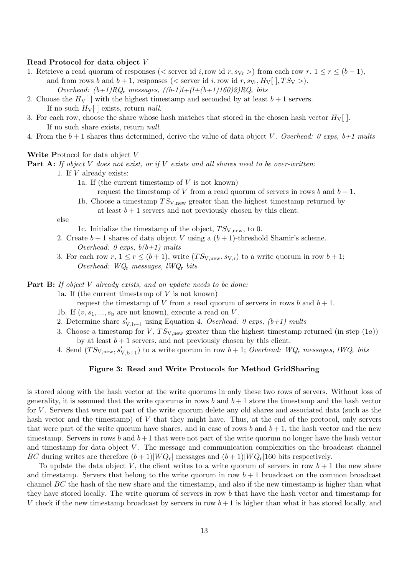#### Read Protocol for data object V

- 1. Retrieve a read quorum of responses ( $\lt$  server id i, row id r,  $s_{Vr}$ ) from each row r,  $1 \le r \le (b-1)$ , and from rows b and  $b + 1$ , responses (< server id i, row id r,  $s_{V_r}, H_V[$ ],  $TS_V >$ ). Overhead:  $(b+1)RQ_r$  messages,  $((b-1)l+(l+(b+1)160)2)RQ_r$  bits
- 2. Choose the  $H_V$  with the highest timestamp and seconded by at least  $b+1$  servers. If no such  $H_V$ [ ] exists, return *null*.
- 3. For each row, choose the share whose hash matches that stored in the chosen hash vector  $H_V[$ . If no such share exists, return null.
- 4. From the  $b+1$  shares thus determined, derive the value of data object V. Overhead: 0 exps,  $b+1$  mults

#### Write Protocol for data object V

**Part A:** If object V does not exist, or if V exists and all shares need to be over-written:

1. If V already exists:

- 1a. If (the current timestamp of  $V$  is not known)
	- request the timestamp of V from a read quorum of servers in rows b and  $b + 1$ .
- 1b. Choose a timestamp  $TS_{V,new}$  greater than the highest timestamp returned by at least  $b + 1$  servers and not previously chosen by this client.

else

- 1c. Initialize the timestamp of the object,  $TS_{V,new}$ , to 0.
- 2. Create  $b+1$  shares of data object V using a  $(b+1)$ -threshold Shamir's scheme. Overhead: 0 exps,  $b(b+1)$  mults
- 3. For each row  $r, 1 \le r \le (b+1)$ , write  $(TS_{V, new}, s_{V,r})$  to a write quorum in row  $b+1$ ; Overhead: WQ<sup>r</sup> messages, lWQ<sup>r</sup> bits

**Part B:** If object V already exists, and an update needs to be done:

1a. If (the current timestamp of  $V$  is not known)

request the timestamp of V from a read quorum of servers in rows b and  $b + 1$ .

- 1b. If  $(v, s_1, ..., s_b$  are not known), execute a read on V.
- 2. Determine share  $s'_{V,b+1}$  using Equation 4. Overhead: 0 exps, (b+1) mults
- 3. Choose a timestamp for V,  $TS_{V,new}$  greater than the highest timestamp returned (in step (1a)) by at least  $b + 1$  servers, and not previously chosen by this client.
- 4. Send  $(TS_{V,\text{new}}, s'_{V,b+1})$  to a write quorum in row  $b+1$ ; *Overhead: WQ<sub>r</sub>* messages, lWQ<sub>r</sub> bits

#### Figure 3: Read and Write Protocols for Method GridSharing

is stored along with the hash vector at the write quorums in only these two rows of servers. Without loss of generality, it is assumed that the write quorums in rows b and  $b + 1$  store the timestamp and the hash vector for V . Servers that were not part of the write quorum delete any old shares and associated data (such as the hash vector and the timestamp) of V that they might have. Thus, at the end of the protocol, only servers that were part of the write quorum have shares, and in case of rows b and  $b + 1$ , the hash vector and the new timestamp. Servers in rows b and  $b+1$  that were not part of the write quorum no longer have the hash vector and timestamp for data object V. The message and communication complexities on the broadcast channel BC during writes are therefore  $(b+1)|WQ_r|$  messages and  $(b+1)|WQ_r|160$  bits respectively.

To update the data object V, the client writes to a write quorum of servers in row  $b + 1$  the new share and timestamp. Servers that belong to the write quorum in row  $b + 1$  broadcast on the common broadcast channel  $BC$  the hash of the new share and the timestamp, and also if the new timestamp is higher than what they have stored locally. The write quorum of servers in row b that have the hash vector and timestamp for V check if the new timestamp broadcast by servers in row  $b+1$  is higher than what it has stored locally, and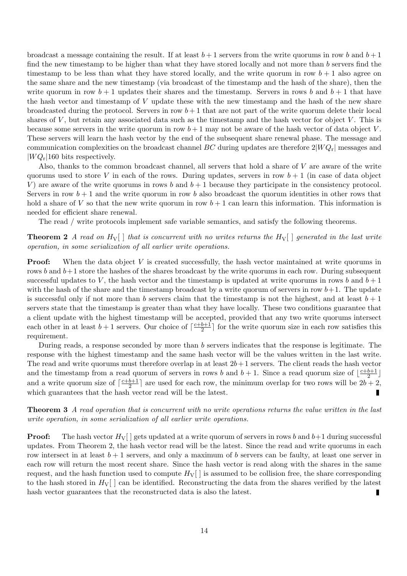broadcast a message containing the result. If at least  $b+1$  servers from the write quorums in row b and  $b+1$ find the new timestamp to be higher than what they have stored locally and not more than  $b$  servers find the timestamp to be less than what they have stored locally, and the write quorum in row  $b + 1$  also agree on the same share and the new timestamp (via broadcast of the timestamp and the hash of the share), then the write quorum in row  $b + 1$  updates their shares and the timestamp. Servers in rows b and  $b + 1$  that have the hash vector and timestamp of V update these with the new timestamp and the hash of the new share broadcasted during the protocol. Servers in row  $b+1$  that are not part of the write quorum delete their local shares of  $V$ , but retain any associated data such as the timestamp and the hash vector for object  $V$ . This is because some servers in the write quorum in row  $b+1$  may not be aware of the hash vector of data object V. These servers will learn the hash vector by the end of the subsequent share renewal phase. The message and communication complexities on the broadcast channel BC during updates are therefore  $2|WQ_r|$  messages and  $|WQ_r|160$  bits respectively.

Also, thanks to the common broadcast channel, all servers that hold a share of V are aware of the write quorums used to store V in each of the rows. During updates, servers in row  $b + 1$  (in case of data object V) are aware of the write quorums in rows b and  $b + 1$  because they participate in the consistency protocol. Servers in row  $b + 1$  and the write quorum in row b also broadcast the quorum identities in other rows that hold a share of V so that the new write quorum in row  $b + 1$  can learn this information. This information is needed for efficient share renewal.

The read / write protocols implement safe variable semantics, and satisfy the following theorems.

**Theorem 2** A read on  $H_V$ [] that is concurrent with no writes returns the  $H_V$ [] generated in the last write operation, in some serialization of all earlier write operations.

**Proof:** When the data object V is created successfully, the hash vector maintained at write quorums in rows b and  $b+1$  store the hashes of the shares broadcast by the write quorums in each row. During subsequent successful updates to V, the hash vector and the timestamp is updated at write quorums in rows b and  $b + 1$ with the hash of the share and the timestamp broadcast by a write quorum of servers in row  $b+1$ . The update is successful only if not more than b servers claim that the timestamp is not the highest, and at least  $b + 1$ servers state that the timestamp is greater than what they have locally. These two conditions guarantee that a client update with the highest timestamp will be accepted, provided that any two write quorums intersect each other in at least  $b+1$  servers. Our choice of  $\lceil \frac{c+b+1}{2} \rceil$  $\frac{b+1}{2}$  for the write quorum size in each row satisfies this requirement.

During reads, a response seconded by more than b servers indicates that the response is legitimate. The response with the highest timestamp and the same hash vector will be the values written in the last write. The read and write quorums must therefore overlap in at least  $2b+1$  servers. The client reads the hash vector and the timestamp from a read quorum of servers in rows b and  $b + 1$ . Since a read quorum size of  $\frac{c+b+1}{2}$  $\frac{b+1}{2}$ and a write quorum size of  $\lceil \frac{c+b+1}{2} \rceil$  $\frac{b+1}{2}$  are used for each row, the minimum overlap for two rows will be  $2b+2$ , which guarantees that the hash vector read will be the latest. П

Theorem 3 A read operation that is concurrent with no write operations returns the value written in the last write operation, in some serialization of all earlier write operations.

**Proof:** The hash vector  $H_V[$  gets updated at a write quorum of servers in rows b and  $b+1$  during successful updates. From Theorem 2, the hash vector read will be the latest. Since the read and write quorums in each row intersect in at least  $b + 1$  servers, and only a maximum of b servers can be faulty, at least one server in each row will return the most recent share. Since the hash vector is read along with the shares in the same request, and the hash function used to compute  $H_V[$  is assumed to be collision free, the share corresponding to the hash stored in  $H_V$ [] can be identified. Reconstructing the data from the shares verified by the latest hash vector guarantees that the reconstructed data is also the latest. П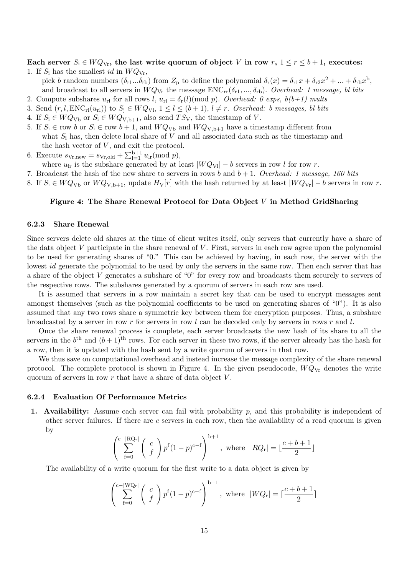Each server  $S_i \in WQ_{V_r}$ , the last write quorum of object V in row  $r, 1 \le r \le b+1$ , executes: 1. If  $S_i$  has the smallest *id* in  $WQ_{\rm Vr}$ ,

pick b random numbers  $(\delta_{r1}...\delta_{rb})$  from  $Z_p$  to define the polynomial  $\delta_r(x) = \delta_{r1}x + \delta_{r2}x^2 + ... + \delta_{rb}x^b$ , and broadcast to all servers in  $WQ_{\rm Vr}$  the message  $\text{ENC}_{\rm rr}(\delta_{r1},...,\delta_{rb})$ . Overhead: 1 message, bl bits

- 2. Compute subshares  $u_{\rm rl}$  for all rows l,  $u_{\rm rl} = \delta_{\rm r}(l)$ (mod p). Overhead: 0 exps,  $b(b+1)$  mults
- 3. Send  $(r, l, ENC_r(u_r))$  to  $S_i \in WQ_{Vl}, 1 \leq l \leq (b+1), l \neq r$ . Overhead: b messages, bl bits
- 4. If  $S_i \in WQ_{\text{Vb}}$  or  $S_i \in WQ_{\text{V,b+1}}$ , also send  $TS_{\text{V}}$ , the timestamp of V.
- 5. If  $S_i \in \text{row } b$  or  $S_i \in \text{row } b + 1$ , and  $WQ_{\text{Vb}}$  and  $WQ_{\text{V,b+1}}$  have a timestamp different from what  $S_i$  has, then delete local share of V and all associated data such as the timestamp and the hash vector of  $V$ , and exit the protocol.
- 6. Execute  $s_{\text{Vr,new}} = s_{\text{Vr,old}} + \sum_{l=1}^{b+1} u_{lr} \pmod{p}$ ,
- where  $u_{\text{lr}}$  is the subshare generated by at least  $|WQ_{\text{VI}}| b$  servers in row l for row r.
- 7. Broadcast the hash of the new share to servers in rows b and  $b + 1$ . Overhead: 1 message, 160 bits
- 8. If  $S_i$  ∈  $WQ_{Vb}$  or  $WQ_{V,b+1}$ , update  $H_V[r]$  with the hash returned by at least  $|WQ_{Vr}| b$  servers in row r.

## Figure 4: The Share Renewal Protocol for Data Object V in Method GridSharing

#### 6.2.3 Share Renewal

Since servers delete old shares at the time of client writes itself, only servers that currently have a share of the data object  $V$  participate in the share renewal of  $V$ . First, servers in each row agree upon the polynomial to be used for generating shares of "0." This can be achieved by having, in each row, the server with the lowest id generate the polynomial to be used by only the servers in the same row. Then each server that has a share of the object V generates a subshare of "0" for every row and broadcasts them securely to servers of the respective rows. The subshares generated by a quorum of servers in each row are used.

It is assumed that servers in a row maintain a secret key that can be used to encrypt messages sent amongst themselves (such as the polynomial coefficients to be used on generating shares of "0"). It is also assumed that any two rows share a symmetric key between them for encryption purposes. Thus, a subshare broadcasted by a server in row r for servers in row l can be decoded only by servers in rows r and l.

Once the share renewal process is complete, each server broadcasts the new hash of its share to all the servers in the  $b<sup>th</sup>$  and  $(b+1)<sup>th</sup>$  rows. For each server in these two rows, if the server already has the hash for a row, then it is updated with the hash sent by a write quorum of servers in that row.

We thus save on computational overhead and instead increase the message complexity of the share renewal protocol. The complete protocol is shown in Figure 4. In the given pseudocode,  $WQ_{\rm Vr}$  denotes the write quorum of servers in row  $r$  that have a share of data object  $V$ .

#### 6.2.4 Evaluation Of Performance Metrics

1. Availability: Assume each server can fail with probability  $p$ , and this probability is independent of other server failures. If there are c servers in each row, then the availability of a read quorum is given by

$$
\left(\sum_{f=0}^{c-|RQ_r|} \binom{c}{f} p^f (1-p)^{c-f}\right)^{b+1}, \text{ where } |RQ_r| = \lfloor \frac{c+b+1}{2} \rfloor
$$

The availability of a write quorum for the first write to a data object is given by

$$
\left(\sum_{f=0}^{c-|WQ_r|} \binom{c}{f} p^f (1-p)^{c-f}\right)^{b+1}, \text{ where } |WQ_r| = \lceil \frac{c+b+1}{2} \rceil
$$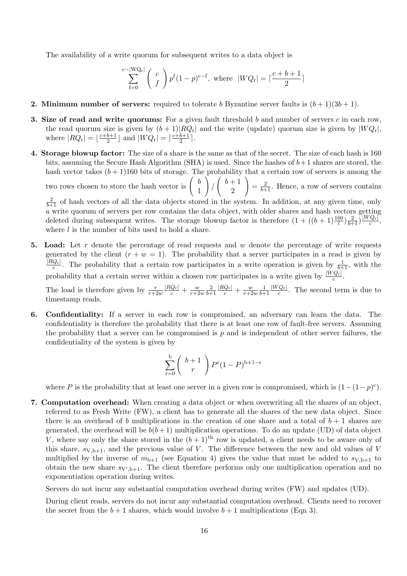The availability of a write quorum for subsequent writes to a data object is

$$
\sum_{f=0}^{c-|WQ_r|} \binom{c}{f} p^f (1-p)^{c-f}, \text{ where } |WQ_r| = \lceil \frac{c+b+1}{2} \rceil
$$

- **2. Minimum number of servers:** required to tolerate b Byzantine server faults is  $(b+1)(3b+1)$ .
- **3. Size of read and write quorums:** For a given fault threshold b and number of servers c in each row, the read quorum size is given by  $(b+1)|RQ_r|$  and the write (update) quorum size is given by  $|WQ_r|$ , where  $|RQ_{\rm r}| = \lfloor \frac{c+b+1}{2} \rfloor$  $\frac{b+1}{2}$  and  $|WQ_r| = \lceil \frac{c+b+1}{2} \rceil$  $\frac{b+1}{2}$ .
- 4. Storage blowup factor: The size of a share is the same as that of the secret. The size of each hash is 160 bits, assuming the Secure Hash Algorithm (SHA) is used. Since the hashes of  $b+1$  shares are stored, the hash vector takes  $(b+1)160$  bits of storage. The probability that a certain row of servers is among the

two rows chosen to store the hash vector is  $\begin{pmatrix} b \\ 1 \end{pmatrix}$ 1  $\setminus$ /  $\begin{pmatrix} b+1 \\ 1 \end{pmatrix}$ 2  $\setminus$  $=\frac{2}{b+1}$ . Hence, a row of servers contains

 $\frac{2}{b+1}$  of hash vectors of all the data objects stored in the system. In addition, at any given time, only a write quorum of servers per row contains the data object, with older shares and hash vectors getting deleted during subsequent writes. The storage blowup factor is therefore  $(1 + ((b+1)\frac{160}{l})\frac{2}{b+1})\frac{[WQ_r]}{c}$  $\frac{|Q_{\rm r}|}{c},$ where  $l$  is the number of bits used to hold a share.

5. Load: Let r denote the percentage of read requests and w denote the percentage of write requests generated by the client  $(r + w = 1)$ . The probability that a server participates in a read is given by  $|RQ_{\rm r}|$  $\frac{Q_r}{c}$ . The probability that a certain row participates in a write operation is given by  $\frac{1}{b+1}$ , with the probability that a certain server within a chosen row participates in a write given by  $\frac{|WQ_r|}{c}$ .

The load is therefore given by  $\frac{r}{r+2w}$  $\frac{|RQ_{\rm r}|}{c} + \frac{w}{r+2}$  $\overline{r+2w}$ 2  $_{b+1}$  $\frac{|RQ_{\rm r}|}{c} + \frac{w}{r+2}$  $r+2w$ 1  $\overline{b+1}$  $|W Q_{\rm r}|$  $\frac{Q_{r}}{c}$ . The second term is due to timestamp reads.

6. Confidentiality: If a server in each row is compromised, an adversary can learn the data. The confidentiality is therefore the probability that there is at least one row of fault-free servers. Assuming the probability that a server can be compromised is  $p$  and is independent of other server failures, the confidentiality of the system is given by

$$
\sum_{r=0}^{b} \binom{b+1}{r} P^{r} (1-P)^{b+1-r}
$$

where P is the probability that at least one server in a given row is compromised, which is  $(1-(1-p)^c)$ .

7. Computation overhead: When creating a data object or when overwriting all the shares of an object, referred to as Fresh Write (FW), a client has to generate all the shares of the new data object. Since there is an overhead of b multiplications in the creation of one share and a total of  $b + 1$  shares are generated, the overhead will be  $b(b+1)$  multiplication operations. To do an update (UD) of data object V, where say only the share stored in the  $(b+1)$ <sup>th</sup> row is updated, a client needs to be aware only of this share,  $s_{V,b+1}$ , and the previous value of V. The difference between the new and old values of V multiplied by the inverse of  $m_{b+1}$  (see Equation 4) gives the value that must be added to  $s_{V,b+1}$  to obtain the new share  $s_{V',b+1}$ . The client therefore performs only one multiplication operation and no exponentiation operation during writes.

Servers do not incur any substantial computation overhead during writes (FW) and updates (UD).

During client reads, servers do not incur any substantial computation overhead. Clients need to recover the secret from the  $b+1$  shares, which would involve  $b+1$  multiplications (Eqn 3).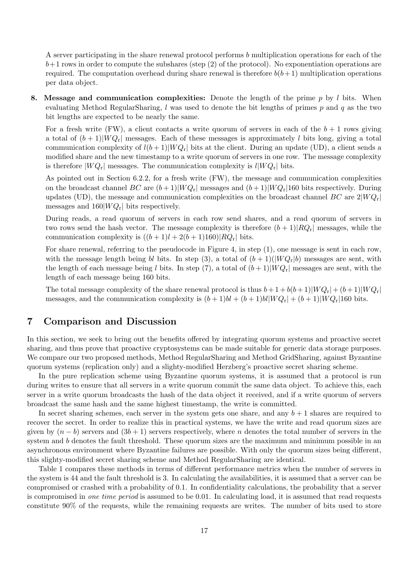A server participating in the share renewal protocol performs b multiplication operations for each of the  $b+1$  rows in order to compute the subshares (step  $(2)$  of the protocol). No exponentiation operations are required. The computation overhead during share renewal is therefore  $b(b+1)$  multiplication operations per data object.

8. Message and communication complexities: Denote the length of the prime  $p$  by l bits. When evaluating Method RegularSharing,  $l$  was used to denote the bit lengths of primes  $p$  and  $q$  as the two bit lengths are expected to be nearly the same.

For a fresh write (FW), a client contacts a write quorum of servers in each of the  $b + 1$  rows giving a total of  $(b+1)|WQ_r|$  messages. Each of these messages is approximately l bits long, giving a total communication complexity of  $l(b+1)|WQ_r|$  bits at the client. During an update (UD), a client sends a modified share and the new timestamp to a write quorum of servers in one row. The message complexity is therefore  $|WQ_{r}|$  messages. The communication complexity is  $l|WQ_{r}|$  bits.

As pointed out in Section 6.2.2, for a fresh write (FW), the message and communication complexities on the broadcast channel BC are  $(b+1)|WQ_r|$  messages and  $(b+1)|WQ_r|160$  bits respectively. During updates (UD), the message and communication complexities on the broadcast channel  $BC$  are  $2|WQ_r|$ messages and  $160|WQ_r|$  bits respectively.

During reads, a read quorum of servers in each row send shares, and a read quorum of servers in two rows send the hash vector. The message complexity is therefore  $(b+1)|RQ_r|$  messages, while the communication complexity is  $((b+1)l+2(b+1)160)|RQ_r|$  bits.

For share renewal, referring to the pseudocode in Figure 4, in step (1), one message is sent in each row, with the message length being bl bits. In step (3), a total of  $(b+1)(|WQ_r|b)$  messages are sent, with the length of each message being l bits. In step (7), a total of  $(b+1)|WQ_r|$  messages are sent, with the length of each message being 160 bits.

The total message complexity of the share renewal protocol is thus  $b+1 + b(b+1)|WQ_r| + (b+1)|WQ_r|$ messages, and the communication complexity is  $(b+1)bI + (b+1)bI|WQ_r| + (b+1)|WQ_r|160$  bits.

# 7 Comparison and Discussion

In this section, we seek to bring out the benefits offered by integrating quorum systems and proactive secret sharing, and thus prove that proactive cryptosystems can be made suitable for generic data storage purposes. We compare our two proposed methods, Method RegularSharing and Method GridSharing, against Byzantine quorum systems (replication only) and a slighty-modified Herzberg's proactive secret sharing scheme.

In the pure replication scheme using Byzantine quorum systems, it is assumed that a protocol is run during writes to ensure that all servers in a write quorum commit the same data object. To achieve this, each server in a write quorum broadcasts the hash of the data object it received, and if a write quorum of servers broadcast the same hash and the same highest timestamp, the write is committed.

In secret sharing schemes, each server in the system gets one share, and any  $b + 1$  shares are required to recover the secret. In order to realize this in practical systems, we have the write and read quorum sizes are given by  $(n - b)$  servers and  $(3b + 1)$  servers respectively, where n denotes the total number of servers in the system and b denotes the fault threshold. These quorum sizes are the maximum and minimum possible in an asynchronous environment where Byzantine failures are possible. With only the quorum sizes being different, this slighty-modified secret sharing scheme and Method RegularSharing are identical.

Table 1 compares these methods in terms of different performance metrics when the number of servers in the system is 44 and the fault threshold is 3. In calculating the availabilities, it is assumed that a server can be compromised or crashed with a probability of 0.1. In confidentiality calculations, the probability that a server is compromised in one time period is assumed to be 0.01. In calculating load, it is assumed that read requests constitute 90% of the requests, while the remaining requests are writes. The number of bits used to store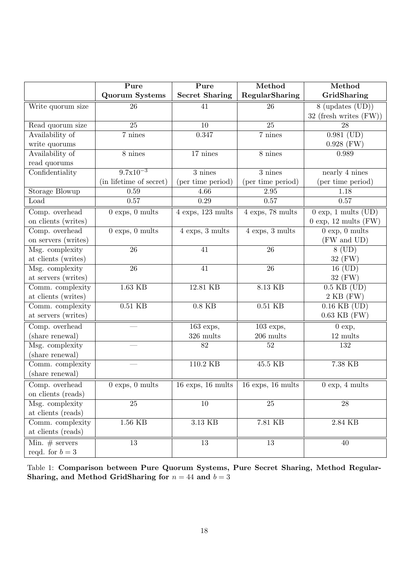|                     | Pure                              | Pure                  | Method                | Method                            |
|---------------------|-----------------------------------|-----------------------|-----------------------|-----------------------------------|
|                     | <b>Quorum Systems</b>             | <b>Secret Sharing</b> | RegularSharing        | GridSharing                       |
| Write quorum size   | 26                                | 41                    | 26                    | $8 \text{ (updates (UD))}$        |
|                     |                                   |                       |                       | 32 (fresh writes $(FW)$ )         |
| Read quorum size    | 25                                | 10                    | 25                    | 28                                |
| Availability of     | 7 nines                           | 0.347                 | 7 nines               | $0.981$ (UD)                      |
| write quorums       |                                   |                       |                       | $0.928$ (FW)                      |
| Availability of     | 8 nines                           | 17 nines              | 8 nines               | 0.989                             |
| read quorums        |                                   |                       |                       |                                   |
| Confidentiality     | $9.7x10^{-3}$                     | $3$ nines             | 3 nines               | nearly 4 nines                    |
|                     | (in lifetime of secret)           | (per time period)     | (per time period)     | (per time period)                 |
| Storage Blowup      | 0.59                              | 4.66                  | 2.95                  | 1.18                              |
| Load                | 0.57                              | 0.29                  | 0.57                  | 0.57                              |
| Comp. overhead      | $0$ exps, $0$ mults               | $4$ exps, 123 mults   | 4 exps, 78 mults      | $0 \exp$ , 1 mults (UD)           |
| on clients (writes) |                                   |                       |                       | $0 \exp$ , 12 mults (FW)          |
| Comp. overhead      | $0$ exps, $0$ mults               | $4$ exps, $3$ mults   | $4$ exps, $3$ mults   | $0 \exp$ , $0 \text{ mults}$      |
| on servers (writes) |                                   |                       |                       | (FW and UD)                       |
| Msg. complexity     | 26                                | $\overline{41}$       | 26                    | $8$ (UD)                          |
| at clients (writes) |                                   |                       |                       | 32 (FW)                           |
| Msg. complexity     | 26                                | 41                    | 26                    | 16 (UD)                           |
| at servers (writes) |                                   |                       |                       | 32 (FW)                           |
| Comm. complexity    | 1.63 KB                           | 12.81 KB              | 8.13 KB               | $0.5$ KB $(UD)$                   |
| at clients (writes) |                                   |                       |                       | $2 KB$ (FW)                       |
| Comm. complexity    | $0.51$ $\mathrm{KB}$              | $0.8$ KB              | $0.51$ KB             | $\overline{0.16 \text{ KB (UD)}}$ |
| at servers (writes) |                                   |                       |                       | $0.63$ KB $(FW)$                  |
| Comp. overhead      |                                   | $163$ exps,           | $103$ exps,           | $0 \exp,$                         |
| (share renewal)     |                                   | $326\mathrm{\ mults}$ | $206 \mathrm{~mults}$ | $12 \mathrm{~mults}$              |
| Msg. complexity     |                                   | 82                    | 52                    | 132                               |
| (share renewal)     |                                   |                       |                       |                                   |
| Comm. complexity    |                                   | 110.2 KB              | 45.5 KB               | 7.38 KB                           |
| (share renewal)     |                                   |                       |                       |                                   |
| Comp. overhead      | $0 \text{ exps}, 0 \text{ mults}$ | $16$ exps, $16$ mults | $16$ exps, $16$ mults | $0 \exp$ , 4 mults                |
| on clients (reads)  |                                   |                       |                       |                                   |
| Msg. complexity     | 25                                | 10                    | 25                    | 28                                |
| at clients (reads)  |                                   |                       |                       |                                   |
| Comm. complexity    | $1.56$ KB                         | $3.13~\mathrm{KB}$    | $7.81~\mathrm{KB}$    | 2.84 KB                           |
| at clients (reads)  |                                   |                       |                       |                                   |
| Min. $#$ servers    | $\overline{13}$                   | $\overline{13}$       | $\overline{13}$       | 40                                |
| reqd. for $b=3$     |                                   |                       |                       |                                   |

Table 1: Comparison between Pure Quorum Systems, Pure Secret Sharing, Method Regular-Sharing, and Method GridSharing for  $n = 44$  and  $b = 3$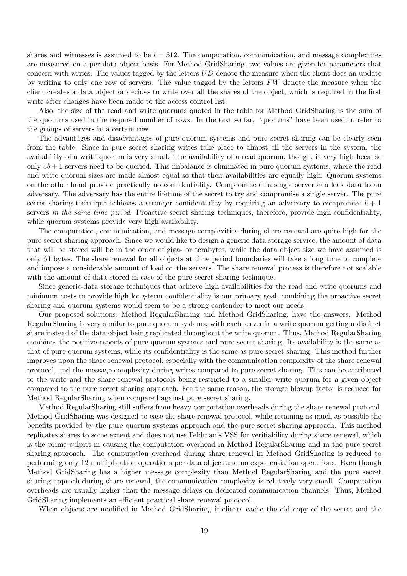shares and witnesses is assumed to be  $l = 512$ . The computation, communication, and message complexities are measured on a per data object basis. For Method GridSharing, two values are given for parameters that concern with writes. The values tagged by the letters  $UD$  denote the measure when the client does an update by writing to only one row of servers. The value tagged by the letters  $FW$  denote the measure when the client creates a data object or decides to write over all the shares of the object, which is required in the first write after changes have been made to the access control list.

Also, the size of the read and write quorums quoted in the table for Method GridSharing is the sum of the quorums used in the required number of rows. In the text so far, "quorums" have been used to refer to the groups of servers in a certain row.

The advantages and disadvantages of pure quorum systems and pure secret sharing can be clearly seen from the table. Since in pure secret sharing writes take place to almost all the servers in the system, the availability of a write quorum is very small. The availability of a read quorum, though, is very high because only  $3b + 1$  servers need to be queried. This imbalance is eliminated in pure quorum systems, where the read and write quorum sizes are made almost equal so that their availabilities are equally high. Quorum systems on the other hand provide practically no confidentiality. Compromise of a single server can leak data to an adversary. The adversary has the entire lifetime of the secret to try and compromise a single server. The pure secret sharing technique achieves a stronger confidentiality by requiring an adversary to compromise  $b + 1$ servers in the same time period. Proactive secret sharing techniques, therefore, provide high confidentiality, while quorum systems provide very high availability.

The computation, communication, and message complexities during share renewal are quite high for the pure secret sharing approach. Since we would like to design a generic data storage service, the amount of data that will be stored will be in the order of giga- or terabytes, while the data object size we have assumed is only 64 bytes. The share renewal for all objects at time period boundaries will take a long time to complete and impose a considerable amount of load on the servers. The share renewal process is therefore not scalable with the amount of data stored in case of the pure secret sharing technique.

Since generic-data storage techniques that achieve high availabilities for the read and write quorums and minimum costs to provide high long-term confidentiality is our primary goal, combining the proactive secret sharing and quorum systems would seem to be a strong contender to meet our needs.

Our proposed solutions, Method RegularSharing and Method GridSharing, have the answers. Method RegularSharing is very similar to pure quorum systems, with each server in a write quorum getting a distinct share instead of the data object being replicated throughout the write quorum. Thus, Method RegularSharing combines the positive aspects of pure quorum systems and pure secret sharing. Its availability is the same as that of pure quorum systems, while its confidentiality is the same as pure secret sharing. This method further improves upon the share renewal protocol, especially with the communication complexity of the share renewal protocol, and the message complexity during writes compared to pure secret sharing. This can be attributed to the write and the share renewal protocols being restricted to a smaller write quorum for a given object compared to the pure secret sharing approach. For the same reason, the storage blowup factor is reduced for Method RegularSharing when compared against pure secret sharing.

Method RegularSharing still suffers from heavy computation overheads during the share renewal protocol. Method GridSharing was designed to ease the share renewal protocol, while retaining as much as possible the benefits provided by the pure quorum systems approach and the pure secret sharing approach. This method replicates shares to some extent and does not use Feldman's VSS for verifiability during share renewal, which is the prime culprit in causing the computation overhead in Method RegularSharing and in the pure secret sharing approach. The computation overhead during share renewal in Method GridSharing is reduced to performing only 12 multiplication operations per data object and no exponentiation operations. Even though Method GridSharing has a higher message complexity than Method RegularSharing and the pure secret sharing approch during share renewal, the communication complexity is relatively very small. Computation overheads are usually higher than the message delays on dedicated communication channels. Thus, Method GridSharing implements an efficient practical share renewal protocol.

When objects are modified in Method GridSharing, if clients cache the old copy of the secret and the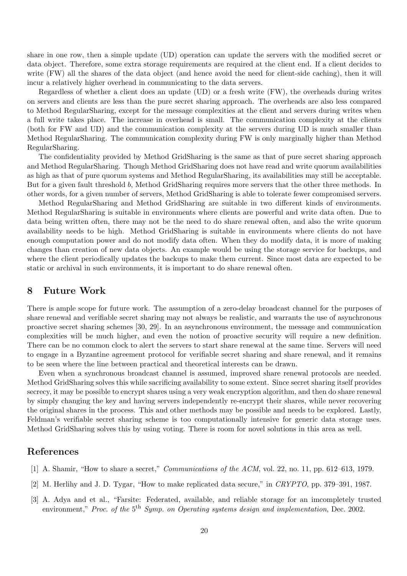share in one row, then a simple update (UD) operation can update the servers with the modified secret or data object. Therefore, some extra storage requirements are required at the client end. If a client decides to write (FW) all the shares of the data object (and hence avoid the need for client-side caching), then it will incur a relatively higher overhead in communicating to the data servers.

Regardless of whether a client does an update (UD) or a fresh write (FW), the overheads during writes on servers and clients are less than the pure secret sharing approach. The overheads are also less compared to Method RegularSharing, except for the message complexities at the client and servers during writes when a full write takes place. The increase in overhead is small. The communication complexity at the clients (both for FW and UD) and the communication complexity at the servers during UD is much smaller than Method RegularSharing. The communication complexity during FW is only marginally higher than Method RegularSharing.

The confidentiality provided by Method GridSharing is the same as that of pure secret sharing approach and Method RegularSharing. Though Method GridSharing does not have read and write quorum availabilities as high as that of pure quorum systems and Method RegularSharing, its availabilities may still be acceptable. But for a given fault threshold b, Method GridSharing requires more servers that the other three methods. In other words, for a given number of servers, Method GridSharing is able to tolerate fewer compromised servers.

Method RegularSharing and Method GridSharing are suitable in two different kinds of environments. Method RegularSharing is suitable in environments where clients are powerful and write data often. Due to data being written often, there may not be the need to do share renewal often, and also the write quorum availability needs to be high. Method GridSharing is suitable in environments where clients do not have enough computation power and do not modify data often. When they do modify data, it is more of making changes than creation of new data objects. An example would be using the storage service for backups, and where the client periodically updates the backups to make them current. Since most data are expected to be static or archival in such environments, it is important to do share renewal often.

# 8 Future Work

There is ample scope for future work. The assumption of a zero-delay broadcast channel for the purposes of share renewal and verifiable secret sharing may not always be realistic, and warrants the use of asynchronous proactive secret sharing schemes [30, 29]. In an asynchronous environment, the message and communication complexities will be much higher, and even the notion of proactive security will require a new definition. There can be no common clock to alert the servers to start share renewal at the same time. Servers will need to engage in a Byzantine agreement protocol for verifiable secret sharing and share renewal, and it remains to be seen where the line between practical and theoretical interests can be drawn.

Even when a synchronous broadcast channel is assumed, improved share renewal protocols are needed. Method GridSharing solves this while sacrificing availability to some extent. Since secret sharing itself provides secrecy, it may be possible to encrypt shares using a very weak encryption algorithm, and then do share renewal by simply changing the key and having servers independently re-encrypt their shares, while never recovering the original shares in the process. This and other methods may be possible and needs to be explored. Lastly, Feldman's verifiable secret sharing scheme is too computationally intensive for generic data storage uses. Method GridSharing solves this by using voting. There is room for novel solutions in this area as well.

# References

- [1] A. Shamir, "How to share a secret," *Communications of the ACM*, vol. 22, no. 11, pp. 612–613, 1979.
- [2] M. Herlihy and J. D. Tygar, "How to make replicated data secure," in CRYPTO, pp. 379–391, 1987.
- [3] A. Adya and et al., "Farsite: Federated, available, and reliable storage for an imcompletely trusted environment," Proc. of the 5<sup>th</sup> Symp. on Operating systems design and implementation, Dec. 2002.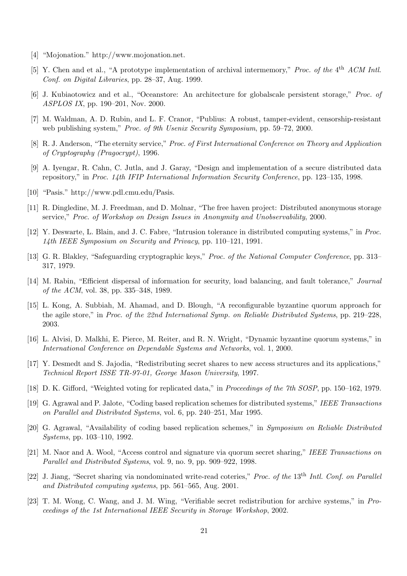- [4] "Mojonation." http://www.mojonation.net.
- [5] Y. Chen and et al., "A prototype implementation of archival intermemory," Proc. of the  $4<sup>th</sup>$  ACM Intl. Conf. on Digital Libraries, pp. 28–37, Aug. 1999.
- [6] J. Kubiaotowicz and et al., "Oceanstore: An architecture for globalscale persistent storage," Proc. of ASPLOS IX, pp. 190–201, Nov. 2000.
- [7] M. Waldman, A. D. Rubin, and L. F. Cranor, "Publius: A robust, tamper-evident, censorship-resistant web publishing system," Proc. of 9th Usenix Security Symposium, pp. 59–72, 2000.
- [8] R. J. Anderson, "The eternity service," Proc. of First International Conference on Theory and Application of Cryptography (Pragocrypt), 1996.
- [9] A. Iyengar, R. Cahn, C. Jutla, and J. Garay, "Design and implementation of a secure distributed data repository," in Proc. 14th IFIP International Information Security Conference, pp. 123–135, 1998.
- [10] "Pasis." http://www.pdl.cmu.edu/Pasis.
- [11] R. Dingledine, M. J. Freedman, and D. Molnar, "The free haven project: Distributed anonymous storage service," Proc. of Workshop on Design Issues in Anonymity and Unobservability, 2000.
- [12] Y. Deswarte, L. Blain, and J. C. Fabre, "Intrusion tolerance in distributed computing systems," in Proc. 14th IEEE Symposium on Security and Privacy, pp. 110–121, 1991.
- [13] G. R. Blakley, "Safeguarding cryptographic keys," Proc. of the National Computer Conference, pp. 313– 317, 1979.
- [14] M. Rabin, "Efficient dispersal of information for security, load balancing, and fault tolerance," Journal of the ACM, vol. 38, pp. 335–348, 1989.
- [15] L. Kong, A. Subbiah, M. Ahamad, and D. Blough, "A reconfigurable byzantine quorum approach for the agile store," in Proc. of the 22nd International Symp. on Reliable Distributed Systems, pp. 219–228, 2003.
- [16] L. Alvisi, D. Malkhi, E. Pierce, M. Reiter, and R. N. Wright, "Dynamic byzantine quorum systems," in International Conference on Dependable Systems and Networks, vol. 1, 2000.
- [17] Y. Desmedt and S. Jajodia, "Redistributing secret shares to new access structures and its applications," Technical Report ISSE TR-97-01, George Mason University, 1997.
- [18] D. K. Gifford, "Weighted voting for replicated data," in *Proceedings of the 7th SOSP*, pp. 150–162, 1979.
- [19] G. Agrawal and P. Jalote, "Coding based replication schemes for distributed systems," IEEE Transactions on Parallel and Distributed Systems, vol. 6, pp. 240–251, Mar 1995.
- [20] G. Agrawal, "Availability of coding based replication schemes," in Symposium on Reliable Distributed Systems, pp. 103–110, 1992.
- [21] M. Naor and A. Wool, "Access control and signature via quorum secret sharing," IEEE Transactions on Parallel and Distributed Systems, vol. 9, no. 9, pp. 909–922, 1998.
- [22] J. Jiang, "Secret sharing via nondominated write-read coteries," Proc. of the 13<sup>th</sup> Intl. Conf. on Parallel and Distributed computing systems, pp. 561–565, Aug. 2001.
- [23] T. M. Wong, C. Wang, and J. M. Wing, "Verifiable secret redistribution for archive systems," in Proceedings of the 1st International IEEE Security in Storage Workshop, 2002.